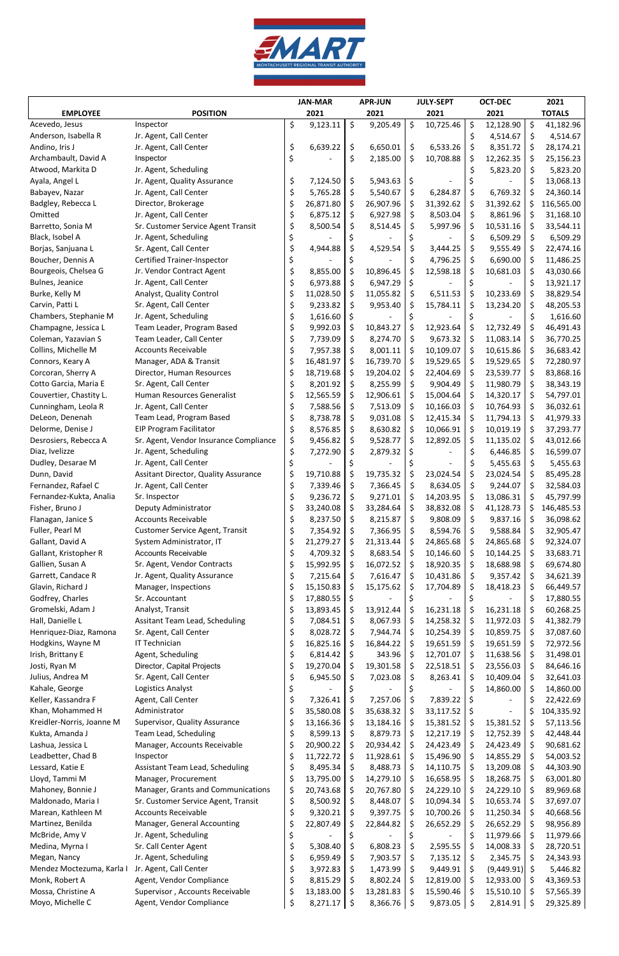

|                           |                                             | <b>JAN-MAR</b> |           | <b>APR-JUN</b> |                  | <b>JULY-SEPT</b> |           | <b>OCT-DEC</b> |                 | 2021 |               |
|---------------------------|---------------------------------------------|----------------|-----------|----------------|------------------|------------------|-----------|----------------|-----------------|------|---------------|
| <b>EMPLOYEE</b>           | <b>POSITION</b>                             |                | 2021      |                | 2021             |                  | 2021      |                | 2021            |      | <b>TOTALS</b> |
| Acevedo, Jesus            | Inspector                                   | \$             | 9,123.11  | \$             | 9,205.49         | \$               | 10,725.46 | $\zeta$        | 12,128.90       | \$   | 41,182.96     |
| Anderson, Isabella R      | Jr. Agent, Call Center                      |                |           |                |                  |                  |           | \$             | 4,514.67        | \$.  | 4,514.67      |
| Andino, Iris J            | Jr. Agent, Call Center                      | \$             | 6,639.22  | \$             | 6,650.01         | \$               | 6,533.26  | \$             | 8,351.72        | \$   | 28,174.21     |
| Archambault, David A      | Inspector                                   | \$             |           | \$             | 2,185.00         | \$               | 10,708.88 | \$             | 12,262.35       | \$   | 25,156.23     |
| Atwood, Markita D         | Jr. Agent, Scheduling                       |                |           |                |                  |                  |           | \$             | 5,823.20        | \$   | 5,823.20      |
| Ayala, Angel L            | Jr. Agent, Quality Assurance                | \$             | 7,124.50  | \$             | $5,943.63$ \$    |                  |           |                |                 |      | 13,068.13     |
| Babayev, Nazar            | Jr. Agent, Call Center                      | \$             | 5,765.28  | \$             | 5,540.67         | \$               | 6,284.87  | \$             | 6,769.32        | \$   | 24,360.14     |
| Badgley, Rebecca L        | Director, Brokerage                         | \$             | 26,871.80 | \$             | 26,907.96        | S                | 31,392.62 | \$             | 31,392.62       |      | 116,565.00    |
|                           |                                             |                |           |                |                  |                  |           |                |                 |      |               |
| Omitted                   | Jr. Agent, Call Center                      | \$             | 6,875.12  | \$             | 6,927.98         | \$               | 8,503.04  | \$             | 8,861.96        | Ş    | 31,168.10     |
| Barretto, Sonia M         | Sr. Customer Service Agent Transit          | \$             | 8,500.54  | \$             | 8,514.45         | S                | 5,997.96  | \$             | 10,531.16       | S    | 33,544.11     |
| Black, Isobel A           | Jr. Agent, Scheduling                       |                |           |                |                  |                  |           | \$             | 6,509.29        | \$   | 6,509.29      |
| Borjas, Sanjuana L        | Sr. Agent, Call Center                      | \$             | 4,944.88  | \$             | 4,529.54         | \$               | 3,444.25  | \$             | 9,555.49        | Ş.   | 22,474.16     |
| Boucher, Dennis A         | <b>Certified Trainer-Inspector</b>          |                |           |                |                  |                  | 4,796.25  | \$             | 6,690.00        | \$.  | 11,486.25     |
| Bourgeois, Chelsea G      | Jr. Vendor Contract Agent                   | \$             | 8,855.00  | \$             | 10,896.45        | \$               | 12,598.18 | \$             | 10,681.03       | \$,  | 43,030.66     |
| Bulnes, Jeanice           | Jr. Agent, Call Center                      | \$             | 6,973.88  | \$             | 6,947.29         | \$               |           | \$             |                 | S    | 13,921.17     |
| Burke, Kelly M            | Analyst, Quality Control                    | \$             | 11,028.50 | \$             | 11,055.82        | \$               | 6,511.53  | \$             | 10,233.69       | \$   | 38,829.54     |
| Carvin, Patti L           | Sr. Agent, Call Center                      | \$             | 9,233.82  | Ş              | 9,953.40         | -S               | 15,784.11 | \$             | 13,234.20       | \$   | 48,205.53     |
| Chambers, Stephanie M     | Jr. Agent, Scheduling                       | \$             | 1,616.60  |                |                  |                  |           |                |                 | \$   | 1,616.60      |
| Champagne, Jessica L      | Team Leader, Program Based                  | \$             | 9,992.03  | Ş.             | 10,843.27        | \$               | 12,923.64 | \$             | 12,732.49       | \$   | 46,491.43     |
| Coleman, Yazavian S       | Team Leader, Call Center                    | \$             | 7,739.09  | \$             | 8,274.70         | S.               | 9,673.32  | \$             | 11,083.14       | \$   | 36,770.25     |
| Collins, Michelle M       | <b>Accounts Receivable</b>                  |                | 7,957.38  | \$             | 8,001.11         |                  | 10,109.07 | \$             | 10,615.86       |      | 36,683.42     |
| Connors, Keary A          | Manager, ADA & Transit                      | \$<br>\$       |           |                | 16,739.70        | \$               |           |                | 19,529.65       | \$   |               |
|                           |                                             |                | 16,481.97 | S              |                  | -\$              | 19,529.65 | \$             |                 | Ş    | 72,280.97     |
| Corcoran, Sherry A        | Director, Human Resources                   | \$             | 18,719.68 | S              | 19,204.02        | -S               | 22,404.69 | \$             | 23,539.77       | \$   | 83,868.16     |
| Cotto Garcia, Maria E     | Sr. Agent, Call Center                      | \$             | 8,201.92  | \$             | 8,255.99         | \$               | 9,904.49  | \$             | 11,980.79       | \$,  | 38,343.19     |
| Couvertier, Chastity L.   | Human Resources Generalist                  | \$             | 12,565.59 | \$             | 12,906.61        | \$.              | 15,004.64 | \$             | 14,320.17       | \$   | 54,797.01     |
| Cunningham, Leola R       | Jr. Agent, Call Center                      | \$             | 7,588.56  | \$             | $7,513.09$ \$    |                  | 10,166.03 | \$             | 10,764.93       | \$   | 36,032.61     |
| DeLeon, Denenah           | Team Lead, Program Based                    | \$             | 8,738.78  | Ş              | $9,031.08$ \$    |                  | 12,415.34 | \$             | 11,794.13       | \$   | 41,979.33     |
| Delorme, Denise J         | <b>EIP Program Facilitator</b>              | \$             | 8,576.85  | \$             | $8,630.82$ \$    |                  | 10,066.91 | \$             | 10,019.19       | \$   | 37,293.77     |
| Desrosiers, Rebecca A     | Sr. Agent, Vendor Insurance Compliance      | \$             | 9,456.82  | \$             | 9,528.77         | -\$              | 12,892.05 | \$             | 11,135.02       |      | 43,012.66     |
| Diaz, Ivelizze            | Jr. Agent, Scheduling                       | \$             | 7,272.90  | \$             | 2,879.32         | \$               |           | \$             | 6,446.85        | \$   | 16,599.07     |
| Dudley, Desarae M         | Jr. Agent, Call Center                      | \$             |           |                |                  |                  |           | \$             | 5,455.63        | \$   | 5,455.63      |
| Dunn, David               | <b>Assitant Director, Quality Assurance</b> | \$             | 19,710.88 | \$             | 19,735.32        | \$               | 23,024.54 | \$             | 23,024.54       | Ş    | 85,495.28     |
| Fernandez, Rafael C       | Jr. Agent, Call Center                      | \$             | 7,339.46  | \$             | 7,366.45         | \$               | 8,634.05  | \$             | 9,244.07        | \$   | 32,584.03     |
| Fernandez-Kukta, Analia   | Sr. Inspector                               | \$             | 9,236.72  | \$             | 9,271.01         | -\$              | 14,203.95 | \$             | 13,086.31       | Ş.   | 45,797.99     |
| Fisher, Bruno J           | Deputy Administrator                        | \$             | 33,240.08 |                | 33,284.64        | S                | 38,832.08 | \$             | 41,128.73       |      | 146,485.53    |
|                           |                                             |                |           | \$             |                  |                  |           |                |                 |      |               |
| Flanagan, Janice S        | <b>Accounts Receivable</b>                  | \$             | 8,237.50  | \$             | 8,215.87         | -\$              | 9,808.09  | \$             | 9,837.16        | Ş    | 36,098.62     |
| Fuller, Pearl M           | Customer Service Agent, Transit             | \$             | 7,354.92  | S              | 7,366.95         | S                | 8,594.76  | \$             | 9,588.84        | S    | 32,905.47     |
| Gallant, David A          | System Administrator, IT                    | \$             | 21,279.27 | \$             | 21,313.44        | \$               | 24,865.68 | \$             | 24,865.68       | \$   | 92,324.07     |
| Gallant, Kristopher R     | <b>Accounts Receivable</b>                  | \$             | 4,709.32  | Ş              | 8,683.54         | -S               | 10,146.60 | \$             | 10,144.25       | Ş.   | 33,683.71     |
| Gallien, Susan A          | Sr. Agent, Vendor Contracts                 | \$             | 15,992.95 | \$             | $16,072.52$   \$ |                  | 18,920.35 | \$             | 18,688.98       | \$   | 69,674.80     |
| Garrett, Candace R        | Jr. Agent, Quality Assurance                | \$             | 7,215.64  | \$             | 7,616.47         | \$               | 10,431.86 | \$             | 9,357.42        | \$   | 34,621.39     |
| Glavin, Richard J         | Manager, Inspections                        | \$             | 15,150.83 |                | 15,175.62        | S                | 17,704.89 | -Ş             | 18,418.23       | \$   | 66,449.57     |
| Godfrey, Charles          | Sr. Accountant                              | \$             | 17,880.55 |                |                  |                  |           | \$             |                 |      | 17,880.55     |
| Gromelski, Adam J         | Analyst, Transit                            | \$             | 13,893.45 | Ş              | 13,912.44        | \$               | 16,231.18 | \$             | 16,231.18       | \$,  | 60,268.25     |
| Hall, Danielle L          | Assitant Team Lead, Scheduling              | \$             | 7,084.51  | \$             | 8,067.93         | -S               | 14,258.32 | \$             | 11,972.03       | \$   | 41,382.79     |
| Henriquez-Diaz, Ramona    | Sr. Agent, Call Center                      | \$             | 8,028.72  | \$             | 7,944.74         | \$               | 10,254.39 | \$             | 10,859.75       | \$,  | 37,087.60     |
| Hodgkins, Wayne M         | IT Technician                               | \$             | 16,825.16 | S              | 16,844.22        | -S               | 19,651.59 | \$             | 19,651.59       | S    | 72,972.56     |
| Irish, Brittany E         | Agent, Scheduling                           | \$             | 6,814.42  | \$             | 343.96           | -\$              | 12,701.07 | \$             | 11,638.56       | \$   | 31,498.01     |
| Josti, Ryan M             |                                             |                |           |                |                  |                  |           |                |                 |      |               |
|                           | Director, Capital Projects                  | \$             | 19,270.04 | S              | 19,301.58        | -\$              | 22,518.51 | \$             | 23,556.03       | Ş    | 84,646.16     |
| Julius, Andrea M          | Sr. Agent, Call Center                      | \$             | 6,945.50  | \$             | 7,023.08         | -\$              | 8,263.41  | \$             | 10,409.04       | \$.  | 32,641.03     |
| Kahale, George            | Logistics Analyst                           |                |           |                |                  |                  |           | \$             | 14,860.00       | Ş    | 14,860.00     |
| Keller, Kassandra F       | Agent, Call Center                          | \$             | 7,326.41  | \$             | 7,257.06         | \$               | 7,839.22  | \$             |                 |      | 22,422.69     |
| Khan, Mohammed H          | Administrator                               | \$             | 35,580.08 | \$             | 35,638.32        | \$               | 33,117.52 | \$             |                 | \$   | 104,335.92    |
| Kreidler-Norris, Joanne M | Supervisor, Quality Assurance               | \$             | 13,166.36 | S              | $13,184.16$ \$   |                  | 15,381.52 | -\$            | 15,381.52       | \$   | 57,113.56     |
| Kukta, Amanda J           | Team Lead, Scheduling                       | \$             | 8,599.13  | \$             | $8,879.73$ \$    |                  | 12,217.19 | -\$            | 12,752.39       | \$   | 42,448.44     |
| Lashua, Jessica L         | Manager, Accounts Receivable                | \$             | 20,900.22 | Ş.             | 20,934.42        | \$               | 24,423.49 | \$             | 24,423.49       | \$,  | 90,681.62     |
| Leadbetter, Chad B        | Inspector                                   | \$             | 11,722.72 | S              | 11,928.61        | \$.              | 15,496.90 | \$             | 14,855.29       | \$   | 54,003.52     |
| Lessard, Katie E          | Assistant Team Lead, Scheduling             | \$             | 8,495.34  | \$             | $8,488.73$ \$    |                  | 14,110.75 | -\$            | 13,209.08       | \$   | 44,303.90     |
| Lloyd, Tammi M            | Manager, Procurement                        | \$             | 13,795.00 | S              | 14,279.10        | -S               | 16,658.95 | \$             | 18,268.75       | \$   | 63,001.80     |
| Mahoney, Bonnie J         | Manager, Grants and Communications          | \$             | 20,743.68 | \$             | 20,767.80        | \$               | 24,229.10 | \$             | 24,229.10       | \$   | 89,969.68     |
| Maldonado, Maria I        | Sr. Customer Service Agent, Transit         | \$             | 8,500.92  | \$             | $8,448.07$ \$    |                  | 10,094.34 | \$             | 10,653.74       | Ş    | 37,697.07     |
|                           | <b>Accounts Receivable</b>                  |                | 9,320.21  |                | $9,397.75$ \$    |                  | 10,700.26 |                |                 |      |               |
| Marean, Kathleen M        |                                             | \$             |           | \$.            |                  |                  |           | -\$            | 11,250.34       | S    | 40,668.56     |
| Martinez, Benilda         | Manager, General Accounting                 | \$             | 22,807.49 |                | $22,844.82$ \$   |                  | 26,652.29 | \$             | 26,652.29       | \$   | 98,956.89     |
| McBride, Amy V            | Jr. Agent, Scheduling                       |                |           | S              |                  |                  |           | \$             | 11,979.66       | Ş    | 11,979.66     |
| Medina, Myrna I           | Sr. Call Center Agent                       | \$             | 5,308.40  | \$             | 6,808.23         |                  | 2,595.55  | \$             | 14,008.33       |      | 28,720.51     |
| Megan, Nancy              | Jr. Agent, Scheduling                       | \$             | 6,959.49  | Ş              | 7,903.57         |                  | 7,135.12  | -Ş             | 2,345.75        | Ş.   | 24,343.93     |
| Mendez Moctezuma, Karla I | Jr. Agent, Call Center                      | \$             | 3,972.83  | S              | 1,473.99         |                  | 9,449.91  | -S             | $(9,449.91)$ \$ |      | 5,446.82      |
|                           |                                             | \$             | 8,815.29  |                | $8,802.24$ \$    |                  | 12,819.00 | -Ş             | 12,933.00       | Ş.   | 43,369.53     |
| Monk, Robert A            | Agent, Vendor Compliance                    |                |           |                |                  |                  |           |                |                 |      |               |
| Mossa, Christine A        | Supervisor, Accounts Receivable             | \$             | 13,183.00 | S              | $13,281.83$   \$ |                  | 15,590.46 | -Ş             | 15,510.10       | S    | 57,565.39     |